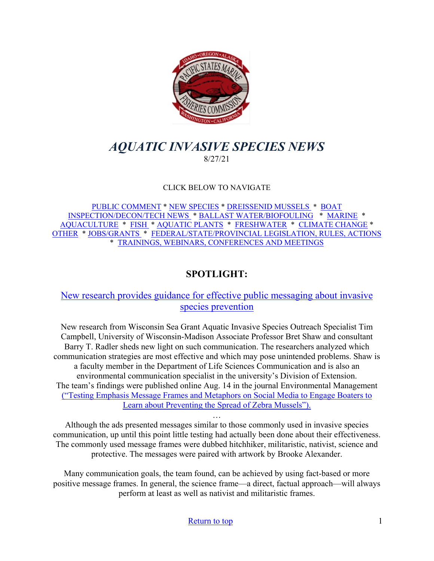

# <span id="page-0-0"></span>*AQUATIC INVASIVE SPECIES NEWS* 8/27/21

## CLICK BELOW TO NAVIGATE

[PUBLIC COMMENT](#page-1-0) \* [NEW SPECIES](#page-2-0) \* [DREISSENID MUSSELS](#page-3-0) \* [BOAT](#page-4-0)  [INSPECTION/DECON/TECH NEWS](#page-4-0) \* [BALLAST WATER/BIOFOULING](#page-5-0) \* [MARINE](#page-5-1) \* [AQUACULTURE](#page-6-0) \* [FISH](#page-7-0) \* [AQUATIC PLANTS](#page-7-1) \* [FRESHWATER](#page-8-0) \* [CLIMATE CHANGE](#page-9-0) \* [OTHER](#page-9-1) \* [JOBS/GRANTS](#page-11-0) \* [FEDERAL/STATE/PROVINCIAL LEGISLATION, RULES, ACTIONS](#page-13-0) \* [TRAININGS, WEBINARS, CONFERENCES AND MEETINGS](#page-14-0) 

## **SPOTLIGHT:**

## [New research provides guidance for effective public messaging about invasive](https://www.seagrant.wisc.edu/news/new-research-provides-guidance-for-effective-public-messaging-about-invasive-species-prevention/)  [species prevention](https://www.seagrant.wisc.edu/news/new-research-provides-guidance-for-effective-public-messaging-about-invasive-species-prevention/)

New research from Wisconsin Sea Grant Aquatic Invasive Species Outreach Specialist Tim Campbell, University of Wisconsin-Madison Associate Professor Bret Shaw and consultant Barry T. Radler sheds new light on such communication. The researchers analyzed which communication strategies are most effective and which may pose unintended problems. Shaw is a faculty member in the Department of Life Sciences Communication and is also an environmental communication specialist in the university's Division of Extension. The team's findings were published online Aug. 14 in the journal Environmental Management [\("Testing Emphasis Message Frames and Metaphors on Social Media to Engage Boaters to](https://link.springer.com/epdf/10.1007/s00267-021-01506-6?sharing_token=ovX2mpOZEvxd6J5kioABzPe4RwlQNchNByi7wbcMAY4ulKWjT5Zyp24UVdJdHmzGqwpXQmqlFj5BgXXV7ypmZoWFfq-f-sKrMlRnoOvyVy33Wj40uD4PyiuM6J-6L27XwJMRPXlDh1ahzcv87oWidryJ74RKkDyU1MF4Z2EXK04%3D)  [Learn about Preventing the Spread of Zebra Mussels"\).](https://link.springer.com/epdf/10.1007/s00267-021-01506-6?sharing_token=ovX2mpOZEvxd6J5kioABzPe4RwlQNchNByi7wbcMAY4ulKWjT5Zyp24UVdJdHmzGqwpXQmqlFj5BgXXV7ypmZoWFfq-f-sKrMlRnoOvyVy33Wj40uD4PyiuM6J-6L27XwJMRPXlDh1ahzcv87oWidryJ74RKkDyU1MF4Z2EXK04%3D)

… Although the ads presented messages similar to those commonly used in invasive species communication, up until this point little testing had actually been done about their effectiveness. The commonly used message frames were dubbed hitchhiker, militaristic, nativist, science and protective. The messages were paired with artwork by Brooke Alexander.

Many communication goals, the team found, can be achieved by using fact-based or more positive message frames. In general, the science frame—a direct, factual approach—will always perform at least as well as nativist and militaristic frames.

#### [Return to top](#page-0-0) 1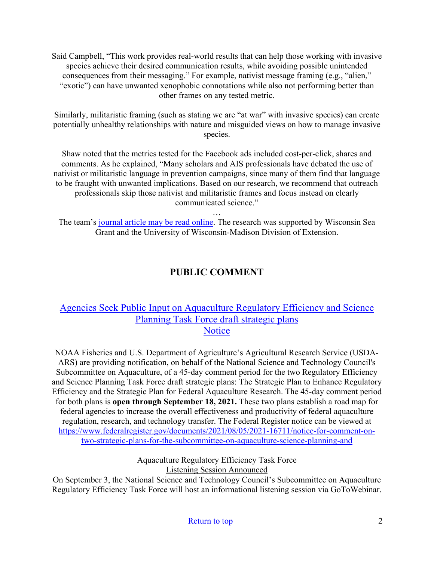Said Campbell, "This work provides real-world results that can help those working with invasive species achieve their desired communication results, while avoiding possible unintended consequences from their messaging." For example, nativist message framing (e.g., "alien," "exotic") can have unwanted xenophobic connotations while also not performing better than other frames on any tested metric.

Similarly, militaristic framing (such as stating we are "at war" with invasive species) can create potentially unhealthy relationships with nature and misguided views on how to manage invasive species.

Shaw noted that the metrics tested for the Facebook ads included cost-per-click, shares and comments. As he explained, "Many scholars and AIS professionals have debated the use of nativist or militaristic language in prevention campaigns, since many of them find that language to be fraught with unwanted implications. Based on our research, we recommend that outreach professionals skip those nativist and militaristic frames and focus instead on clearly communicated science."

…

The team's [journal article may be read online.](https://link.springer.com/epdf/10.1007/s00267-021-01506-6?sharing_token=ovX2mpOZEvxd6J5kioABzPe4RwlQNchNByi7wbcMAY4ulKWjT5Zyp24UVdJdHmzGqwpXQmqlFj5BgXXV7ypmZoWFfq-f-sKrMlRnoOvyVy33Wj40uD4PyiuM6J-6L27XwJMRPXlDh1ahzcv87oWidryJ74RKkDyU1MF4Z2EXK04%3D) The research was supported by Wisconsin Sea Grant and the University of Wisconsin-Madison Division of Extension.

# **PUBLIC COMMENT**

## <span id="page-1-0"></span>[Agencies Seek Public Input on Aquaculture Regulatory Efficiency and Science](https://www.fisheries.noaa.gov/action/agencies-seek-public-input-aquaculture-regulatory-efficiency-and-science-planning-task-force?utm_medium=email&utm_source=govdelivery)  [Planning Task Force draft strategic plans](https://www.fisheries.noaa.gov/action/agencies-seek-public-input-aquaculture-regulatory-efficiency-and-science-planning-task-force?utm_medium=email&utm_source=govdelivery) **[Notice](https://www.fisheries.noaa.gov/action/agencies-seek-public-input-aquaculture-regulatory-efficiency-and-science-planning-task-force?utm_medium=email&utm_source=govdelivery)**

NOAA Fisheries and U.S. Department of Agriculture's Agricultural Research Service (USDA-ARS) are providing notification, on behalf of the National Science and Technology Council's Subcommittee on Aquaculture, of a 45-day comment period for the two Regulatory Efficiency and Science Planning Task Force draft strategic plans: The Strategic Plan to Enhance Regulatory Efficiency and the Strategic Plan for Federal Aquaculture Research. The 45-day comment period for both plans is **open through September 18, 2021.** These two plans establish a road map for federal agencies to increase the overall effectiveness and productivity of federal aquaculture regulation, research, and technology transfer. The Federal Register notice can be viewed at [https://www.federalregister.gov/documents/2021/08/05/2021-16711/notice-for-comment-on](https://www.federalregister.gov/documents/2021/08/05/2021-16711/notice-for-comment-on-two-strategic-plans-for-the-subcommittee-on-aquaculture-science-planning-and)[two-strategic-plans-for-the-subcommittee-on-aquaculture-science-planning-and](https://www.federalregister.gov/documents/2021/08/05/2021-16711/notice-for-comment-on-two-strategic-plans-for-the-subcommittee-on-aquaculture-science-planning-and)

> Aquaculture Regulatory Efficiency Task Force Listening Session Announced

On September 3, the National Science and Technology Council's Subcommittee on Aquaculture Regulatory Efficiency Task Force will host an informational listening session via GoToWebinar.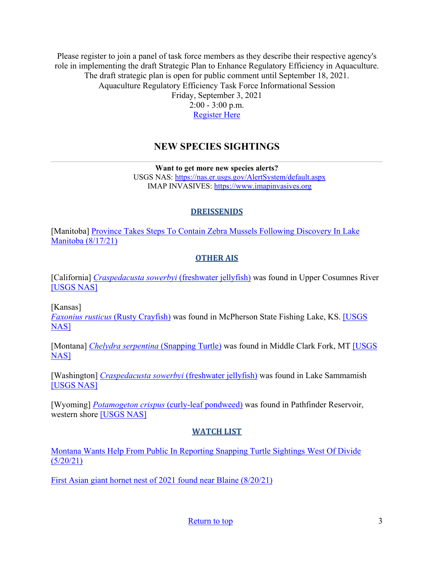Please register to join a panel of task force members as they describe their respective agency's role in implementing the draft Strategic Plan to Enhance Regulatory Efficiency in Aquaculture. The draft strategic plan is open for public comment until September 18, 2021. Aquaculture Regulatory Efficiency Task Force Informational Session Friday, September 3, 2021 2:00 - 3:00 p.m. [Register Here](https://register.gotowebinar.com/register/4853926439359432203?utm_medium=email&utm_source=govdelivery)

## **NEW SPECIES SIGHTINGS**

**Want to get more new species alerts?** USGS NAS:<https://nas.er.usgs.gov/AlertSystem/default.aspx> IMAP INVASIVES: [https://www.imapinvasives.org](https://www.imapinvasives.org/)

## **DREISSENIDS**

<span id="page-2-0"></span>[Manitoba] [Province Takes Steps To Contain Zebra Mussels Following Discovery In Lake](https://news.gov.mb.ca/news/?archive=&item=52142)  [Manitoba \(8/17/21\)](https://news.gov.mb.ca/news/?archive=&item=52142)

## **OTHER AIS**

[California] *[Craspedacusta sowerbyi](https://nas.er.usgs.gov/queries/SpResults.aspx?SpeciesID=1068)* (freshwater jellyfish) was found in Upper Cosumnes River [\[USGS NAS\]](https://nas.er.usgs.gov/queries/specimenviewer.aspx?SpecimenID=1658357)

[Kansas]

*[Faxonius rusticus](https://nas.er.usgs.gov/queries/SpResults.aspx?SpeciesID=214)* (Rusty Crayfish) was found in McPherson State Fishing Lake, KS. [\[USGS](https://nas.er.usgs.gov/queries/specimenviewer.aspx?SpecimenID=1658172)  [NAS\]](https://nas.er.usgs.gov/queries/specimenviewer.aspx?SpecimenID=1658172)

[Montana] *[Chelydra serpentina](https://nas.er.usgs.gov/queries/SpResults.aspx?SpeciesID=1225)* (Snapping Turtle) was found in Middle Clark Fork, MT [\[USGS](https://nas.er.usgs.gov/queries/specimenviewer.aspx?SpecimenID=1658233)  [NAS\]](https://nas.er.usgs.gov/queries/specimenviewer.aspx?SpecimenID=1658233)

[Washington] *[Craspedacusta sowerbyi](https://nas.er.usgs.gov/queries/SpResults.aspx?SpeciesID=1068)* (freshwater jellyfish) was found in Lake Sammamish [\[USGS NAS\]](https://nas.er.usgs.gov/queries/specimenviewer.aspx?SpecimenID=1658362)

[Wyoming] *Potamogeton crispus* [\(curly-leaf pondweed\)](https://nas.er.usgs.gov/queries/SpResults.aspx?SpeciesID=1134) was found in Pathfinder Reservoir, western shore [\[USGS NAS\]](https://nas.er.usgs.gov/queries/specimenviewer.aspx?SpecimenID=1658239)

## **WATCH LIST**

[Montana Wants Help From Public In Reporting Snapping Turtle Sightings West Of Divide](https://www.cbbulletin.com/montana-wants-help-from-public-in-reporting-snapping-turtle-sightings-west-of-divide/)   $(5/20/21)$ 

[First Asian giant hornet nest of 2021 found near Blaine \(8/20/21\)](https://www.newsbreak.com/news/2346988490362/first-asian-giant-hornet-nest-of-2021-found-near-blaine)

[Return to top](#page-0-0) 3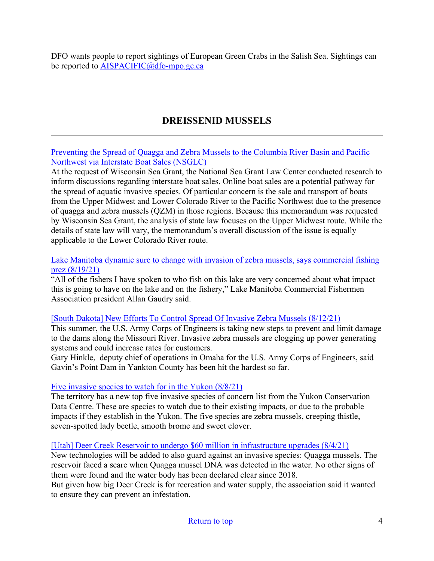DFO wants people to report sightings of European Green Crabs in the Salish Sea. Sightings can be reported to [AISPACIFIC@dfo-mpo.gc.ca](mailto:AISPACIFIC@dfo-mpo.gc.ca)

# **DREISSENID MUSSELS**

<span id="page-3-0"></span>[Preventing the Spread of Quagga and Zebra Mussels to the Columbia River Basin and Pacific](http://nsglc.olemiss.edu/Advisory/pdfs/preventing-spread-quagga-zebramussels.pdf)  [Northwest via Interstate Boat Sales \(NSGLC\)](http://nsglc.olemiss.edu/Advisory/pdfs/preventing-spread-quagga-zebramussels.pdf)

At the request of Wisconsin Sea Grant, the National Sea Grant Law Center conducted research to inform discussions regarding interstate boat sales. Online boat sales are a potential pathway for the spread of aquatic invasive species. Of particular concern is the sale and transport of boats from the Upper Midwest and Lower Colorado River to the Pacific Northwest due to the presence of quagga and zebra mussels (QZM) in those regions. Because this memorandum was requested by Wisconsin Sea Grant, the analysis of state law focuses on the Upper Midwest route. While the details of state law will vary, the memorandum's overall discussion of the issue is equally applicable to the Lower Colorado River route.

### [Lake Manitoba dynamic sure to change with invasion of zebra mussels, says commercial fishing](https://winnipegsun.com/news/news-news/lake-manitoba-dynamic-sure-to-change-with-invasion-of-zebra-mussels-says-commercial-fishing-prez?utm_source=IMC+Dreissenid+Digest&utm_campaign=d296e90aa3-Weekly_Dreissenid_Digest_4_13_2018_COPY_01&utm_medium=email&utm_term=0_68bd7ec89f-d296e90aa3-128742361)  [prez \(8/19/21\)](https://winnipegsun.com/news/news-news/lake-manitoba-dynamic-sure-to-change-with-invasion-of-zebra-mussels-says-commercial-fishing-prez?utm_source=IMC+Dreissenid+Digest&utm_campaign=d296e90aa3-Weekly_Dreissenid_Digest_4_13_2018_COPY_01&utm_medium=email&utm_term=0_68bd7ec89f-d296e90aa3-128742361)

"All of the fishers I have spoken to who fish on this lake are very concerned about what impact this is going to have on the lake and on the fishery," Lake Manitoba Commercial Fishermen Association president Allan Gaudry said.

## [\[South Dakota\] New Efforts To Control Spread Of Invasive Zebra Mussels \(8/12/21\)](https://listen.sdpb.org/post/new-efforts-control-spread-invasive-zebra-mussels)

This summer, the U.S. Army Corps of Engineers is taking new steps to prevent and limit damage to the dams along the Missouri River. Invasive zebra mussels are clogging up power generating systems and could increase rates for customers.

Gary Hinkle, deputy chief of operations in Omaha for the U.S. Army Corps of Engineers, said Gavin's Point Dam in Yankton County has been hit the hardest so far.

## [Five invasive species to watch for in the Yukon \(8/8/21\)](https://www.yukon-news.com/life/five-invasive-species-to-watch-for-in-the-yukon/)

The territory has a new top five invasive species of concern list from the Yukon Conservation Data Centre. These are species to watch due to their existing impacts, or due to the probable impacts if they establish in the Yukon. The five species are zebra mussels, creeping thistle, seven-spotted lady beetle, smooth brome and sweet clover.

#### [\[Utah\] Deer Creek Reservoir to undergo \\$60 million in infrastructure upgrades \(8/4/21\)](https://www.fox13now.com/news/local-news/deer-creek-reservoir-to-undergo-60-million-in-infrastructure-upgrades)

New technologies will be added to also guard against an invasive species: Quagga mussels. The reservoir faced a scare when Quagga mussel DNA was detected in the water. No other signs of them were found and the water body has been declared clear since 2018.

But given how big Deer Creek is for recreation and water supply, the association said it wanted to ensure they can prevent an infestation.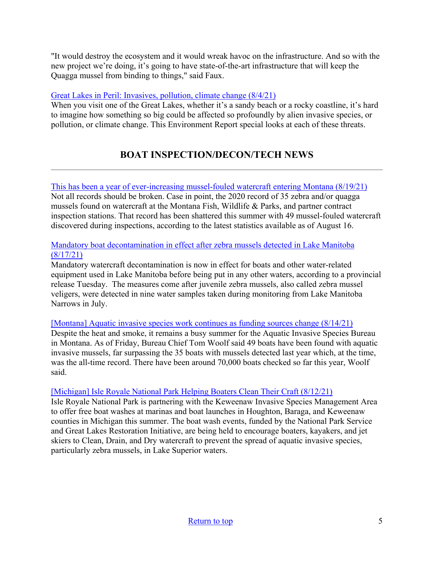"It would destroy the ecosystem and it would wreak havoc on the infrastructure. And so with the new project we're doing, it's going to have state-of-the-art infrastructure that will keep the Quagga mussel from binding to things," said Faux.

## [Great Lakes in Peril: Invasives, pollution, climate change \(8/4/21\)](https://www.michiganradio.org/post/great-lakes-peril-invasives-pollution-climate-change)

When you visit one of the Great Lakes, whether it's a sandy beach or a rocky coastline, it's hard to imagine how something so big could be affected so profoundly by alien invasive species, or pollution, or climate change. This Environment Report special looks at each of these threats.

# **BOAT INSPECTION/DECON/TECH NEWS**

## <span id="page-4-0"></span>[This has been a year of ever-increasing mussel-fouled watercraft entering Montana \(8/19/21\)](http://www.charkoosta.com/news/this-has-been-a-year-of-ever-increasing-mussel-fouled-watercraft-entering-montana/article_61bbc1ae-0066-11ec-87b3-5323547a2e68.html)

Not all records should be broken. Case in point, the 2020 record of 35 zebra and/or quagga mussels found on watercraft at the Montana Fish, Wildlife & Parks, and partner contract inspection stations. That record has been shattered this summer with 49 mussel-fouled watercraft discovered during inspections, according to the latest statistics available as of August 16.

## [Mandatory boat decontamination in effect after zebra mussels detected in Lake Manitoba](https://winnipeg.ctvnews.ca/mandatory-boat-decontamination-in-effect-after-zebra-mussels-detected-in-lake-manitoba-province-1.5550480) [\(8/17/21\)](https://winnipeg.ctvnews.ca/mandatory-boat-decontamination-in-effect-after-zebra-mussels-detected-in-lake-manitoba-province-1.5550480)

Mandatory watercraft decontamination is now in effect for boats and other water-related equipment used in Lake Manitoba before being put in any other waters, according to a provincial release Tuesday. The measures come after juvenile zebra mussels, also called zebra mussel veligers, were detected in nine water samples taken during monitoring from Lake Manitoba Narrows in July.

[\[Montana\] Aquatic invasive species work continues as funding sources change \(8/14/21\)](https://missoulian.com/news/local/aquatic-invasive-species-work-continues-as-funding-sources-change/article_8c533ae9-db84-564d-a358-e041ee1eb6e9.html#tncms-source=signup) Despite the heat and smoke, it remains a busy summer for the Aquatic Invasive Species Bureau in Montana. As of Friday, Bureau Chief Tom Woolf said 49 boats have been found with aquatic invasive mussels, far surpassing the 35 boats with mussels detected last year which, at the time,

was the all-time record. There have been around 70,000 boats checked so far this year, Woolf

## [\[Michigan\] Isle Royale National Park Helping Boaters Clean Their Craft \(8/12/21\)](https://www.nationalparkstraveler.org/2021/08/isle-royale-national-park-helping-boaters-clean-their-craft)

said.

Isle Royale National Park is partnering with the Keweenaw Invasive Species Management Area to offer free boat washes at marinas and boat launches in Houghton, Baraga, and Keweenaw counties in Michigan this summer. The boat wash events, funded by the National Park Service and Great Lakes Restoration Initiative, are being held to encourage boaters, kayakers, and jet skiers to Clean, Drain, and Dry watercraft to prevent the spread of aquatic invasive species, particularly zebra mussels, in Lake Superior waters.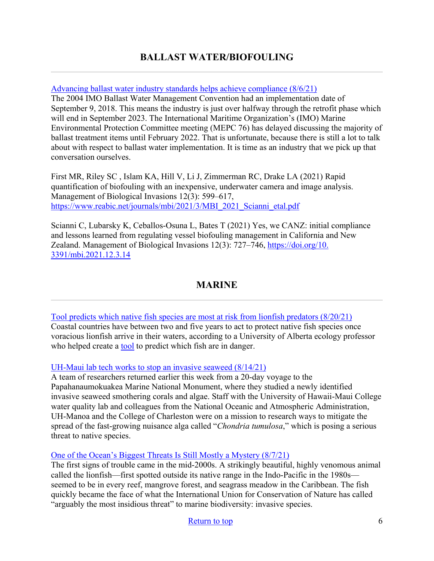# **BALLAST WATER/BIOFOULING**

### <span id="page-5-0"></span>[Advancing ballast water industry standards helps achieve compliance \(8/6/21\)](https://www.marinelog.com/op-eds/advancing-ballast-water-industry-standards-helps-achieve-compliance/)

The 2004 IMO Ballast Water Management Convention had an implementation date of September 9, 2018. This means the industry is just over halfway through the retrofit phase which will end in September 2023. The International Maritime Organization's (IMO) Marine Environmental Protection Committee meeting (MEPC 76) has delayed discussing the majority of ballast treatment items until February 2022. That is unfortunate, because there is still a lot to talk about with respect to ballast water implementation. It is time as an industry that we pick up that conversation ourselves.

First MR, Riley SC , Islam KA, Hill V, Li J, Zimmerman RC, Drake LA (2021) Rapid quantification of biofouling with an inexpensive, underwater camera and image analysis. Management of Biological Invasions 12(3): 599–617, https://www.reabic.net/journals/mbi/2021/3/MBI\_2021\_Scianni\_etal.pdf

Scianni C, Lubarsky K, Ceballos-Osuna L, Bates T (2021) Yes, we CANZ: initial compliance and lessons learned from regulating vessel biofouling management in California and New Zealand. Management of Biological Invasions 12(3): 727–746, [https://doi.org/10.](https://doi.org/10.%203391/mbi.2021.12.3.14)  [3391/mbi.2021.12.3.14](https://doi.org/10.%203391/mbi.2021.12.3.14)

## **MARINE**

<span id="page-5-1"></span>[Tool predicts which native fish species are most at risk from lionfish predators \(8/20/21\)](https://phys.org/news/2021-08-tool-native-fish-species-lionfish.html) Coastal countries have between two and five years to act to protect native fish species once voracious lionfish arrive in their waters, according to a University of Alberta ecology professor who helped create a [tool](https://onlinelibrary.wiley.com/doi/epdf/10.1111/gcb.15732) to predict which fish are in danger.

#### [UH-Maui lab tech works to stop an invasive seaweed \(8/14/21\)](https://www.mauinews.com/news/local-news/2021/08/uh-maui-lab-tech-works-to-stop-an-invasive-seaweed/)

A team of researchers returned earlier this week from a 20-day voyage to the Papahanaumokuakea Marine National Monument, where they studied a newly identified invasive seaweed smothering corals and algae. Staff with the University of Hawaii-Maui College water quality lab and colleagues from the National Oceanic and Atmospheric Administration, UH-Manoa and the College of Charleston were on a mission to research ways to mitigate the spread of the fast-growing nuisance alga called "*Chondria tumulosa*," which is posing a serious threat to native species.

[One of the Ocean's Biggest Threats Is Still Mostly a Mystery \(8/7/21\)](https://www.theatlantic.com/science/archive/2021/08/the-oceans-invasive-species-are-still-mostly-a-mystery/619684/)

The first signs of trouble came in the mid-2000s. A strikingly beautiful, highly venomous animal called the lionfish—first spotted outside its native range in the Indo-Pacific in the 1980s seemed to be in every reef, mangrove forest, and seagrass meadow in the Caribbean. The fish quickly became the face of what the International Union for Conservation of Nature has called "arguably the most insidious threat" to marine biodiversity: invasive species.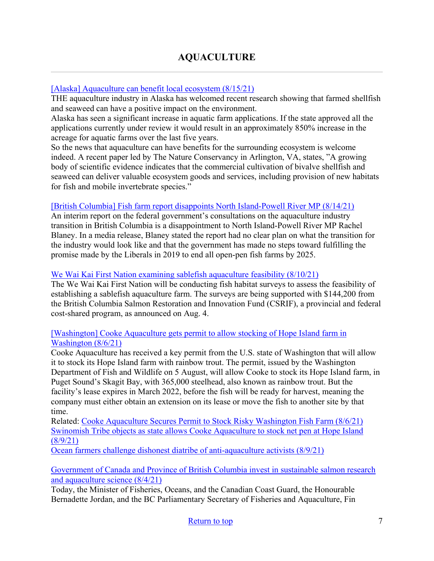## <span id="page-6-0"></span>[\[Alaska\] Aquaculture can benefit local ecosystem \(8/15/21\)](https://www.cbn.co.za/news/fishing-industry/aquaculture-can-benefit-local-ecosystem/)

THE aquaculture industry in Alaska has welcomed recent research showing that farmed shellfish and seaweed can have a positive impact on the environment.

Alaska has seen a significant increase in aquatic farm applications. If the state approved all the applications currently under review it would result in an approximately 850% increase in the acreage for aquatic farms over the last five years.

So the news that aquaculture can have benefits for the surrounding ecosystem is welcome indeed. A recent paper led by The Nature Conservancy in Arlington, VA, states, "A growing body of scientific evidence indicates that the commercial cultivation of bivalve shellfish and seaweed can deliver valuable ecosystem goods and services, including provision of new habitats for fish and mobile invertebrate species."

## [\[British Columbia\] Fish farm report disappoints North Island-Powell River MP \(8/14/21\)](https://www.prpeak.com/local-news/fish-farm-report-disappoints-north-island-powell-river-mp-4217551)

An interim report on the federal government's consultations on the aquaculture industry transition in British Columbia is a disappointment to North Island-Powell River MP Rachel Blaney. In a media release, Blaney stated the report had no clear plan on what the transition for the industry would look like and that the government has made no steps toward fulfilling the promise made by the Liberals in 2019 to end all open-pen fish farms by 2025.

## [We Wai Kai First Nation examining sablefish aquaculture feasibility \(8/10/21\)](https://www.campbellrivermirror.com/news/we-wai-kai-first-nation-examining-sablefish-aquaculture-feasibility/)

The We Wai Kai First Nation will be conducting fish habitat surveys to assess the feasibility of establishing a sablefish aquaculture farm. The surveys are being supported with \$144,200 from the British Columbia Salmon Restoration and Innovation Fund (CSRIF), a provincial and federal cost-shared program, as announced on Aug. 4.

## [\[Washington\] Cooke Aquaculture gets permit to allow stocking of Hope Island farm in](https://www.seafoodsource.com/news/aquaculture/cooke-aquaculture-gets-permit-to-allow-stocking-of-hope-island-farm-in-washington)  [Washington \(8/6/21\)](https://www.seafoodsource.com/news/aquaculture/cooke-aquaculture-gets-permit-to-allow-stocking-of-hope-island-farm-in-washington)

Cooke Aquaculture has received a key permit from the U.S. state of Washington that will allow it to stock its Hope Island farm with rainbow trout. The permit, issued by the Washington Department of Fish and Wildlife on 5 August, will allow Cooke to stock its Hope Island farm, in Puget Sound's Skagit Bay, with 365,000 steelhead, also known as rainbow trout. But the facility's lease expires in March 2022, before the fish will be ready for harvest, meaning the company must either obtain an extension on its lease or move the fish to another site by that time.

Related: [Cooke Aquaculture Secures Permit to Stock Risky Washington Fish Farm \(8/6/21\)](https://biologicaldiversity.org/w/news/press-releases/cooke-aquaculture-secures-permit-to-stock-risky-washington-fish-farm-2021-08-06/) [Swinomish Tribe objects as state allows Cooke Aquaculture to stock net pen at Hope Island](https://www.knkx.org/environment/2021-08-09/swinomish-tribe-objects-as-state-allows-cooke-aquaculture-to-stock-net-pen-at-hope-island)  [\(8/9/21\)](https://www.knkx.org/environment/2021-08-09/swinomish-tribe-objects-as-state-allows-cooke-aquaculture-to-stock-net-pen-at-hope-island)

[Ocean farmers challenge dishonest diatribe of anti-aquaculture activists \(8/9/21\)](https://seawestnews.com/ocean-farmers-challenge-dishonest-diatribe-of-anti-aquaculture-activists/)

## [Government of Canada and Province of British Columbia invest in sustainable salmon research](https://finance.yahoo.com/news/government-canada-province-british-columbia-180000853.html)  [and aquaculture science \(8/4/21\)](https://finance.yahoo.com/news/government-canada-province-british-columbia-180000853.html)

Today, the Minister of Fisheries, Oceans, and the Canadian Coast Guard, the Honourable Bernadette Jordan, and the BC Parliamentary Secretary of Fisheries and Aquaculture, Fin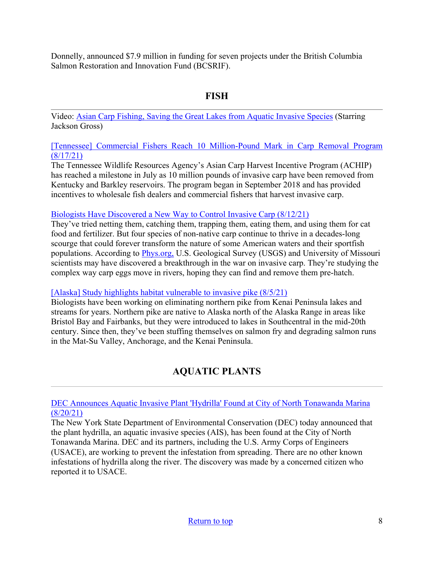Donnelly, announced \$7.9 million in funding for seven projects under the British Columbia Salmon Restoration and Innovation Fund (BCSRIF).

## **FISH**

<span id="page-7-0"></span>Video: [Asian Carp Fishing, Saving the Great Lakes from Aquatic Invasive Species](https://www.youtube.com/watch?v=-2VMUc-3Xjw&vl=en-US) (Starring Jackson Gross)

[\[Tennessee\] Commercial Fishers Reach 10 Million-Pound Mark in Carp Removal Program](https://www.tn.gov/twra/news/2021/8/17/commercial-fishers-reach-10-million-pound-mark-in-carp-removal-program--.html)  [\(8/17/21\)](https://www.tn.gov/twra/news/2021/8/17/commercial-fishers-reach-10-million-pound-mark-in-carp-removal-program--.html)

The Tennessee Wildlife Resources Agency's Asian Carp Harvest Incentive Program (ACHIP) has reached a milestone in July as 10 million pounds of invasive carp have been removed from Kentucky and Barkley reservoirs. The program began in September 2018 and has provided incentives to wholesale fish dealers and commercial fishers that harvest invasive carp.

## [Biologists Have Discovered a New Way to Control Invasive Carp \(8/12/21\)](https://www.outdoorlife.com/conservation/biologists-discovers-ways-to-control-asian-carp/)

They've tried netting them, catching them, trapping them, eating them, and using them for cat food and fertilizer. But four species of non-native carp continue to thrive in a decades-long scourge that could forever transform the nature of some American waters and their sportfish populations. According to [Phys.org,](https://phys.org/news/2021-08-invasive-carp-scientists-explore-frontier.html) U.S. Geological Survey (USGS) and University of Missouri scientists may have discovered a breakthrough in the war on invasive carp. They're studying the complex way carp eggs move in rivers, hoping they can find and remove them pre-hatch.

## [\[Alaska\] Study highlights habitat vulnerable to invasive pike \(8/5/21\)](https://www.kdll.org/post/study-highlights-habitat-vulnerable-invasive-pike#stream/0)

Biologists have been working on eliminating northern pike from Kenai Peninsula lakes and streams for years. Northern pike are native to Alaska north of the Alaska Range in areas like Bristol Bay and Fairbanks, but they were introduced to lakes in Southcentral in the mid-20th century. Since then, they've been stuffing themselves on salmon fry and degrading salmon runs in the Mat-Su Valley, Anchorage, and the Kenai Peninsula.

# **AQUATIC PLANTS**

<span id="page-7-1"></span>[DEC Announces Aquatic Invasive Plant 'Hydrilla' Found at City of North Tonawanda Marina](https://www.dec.ny.gov/press/123644.html)  [\(8/20/21\)](https://www.dec.ny.gov/press/123644.html)

The New York State Department of Environmental Conservation (DEC) today announced that the plant hydrilla, an aquatic invasive species (AIS), has been found at the City of North Tonawanda Marina. DEC and its partners, including the U.S. Army Corps of Engineers (USACE), are working to prevent the infestation from spreading. There are no other known infestations of hydrilla along the river. The discovery was made by a concerned citizen who reported it to USACE.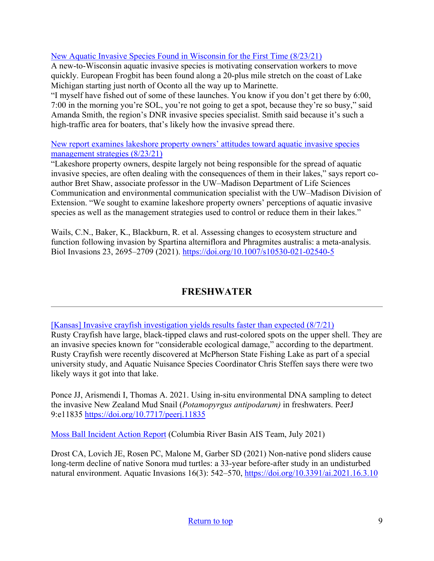## [New Aquatic Invasive Species Found in Wisconsin for the First Time \(8/23/21\)](https://www.wxpr.org/post/new-aquatic-invasive-species-found-wisconsin-first-time#stream/0)

A new-to-Wisconsin aquatic invasive species is motivating conservation workers to move quickly. European Frogbit has been found along a 20-plus mile stretch on the coast of Lake Michigan starting just north of Oconto all the way up to Marinette.

"I myself have fished out of some of these launches. You know if you don't get there by 6:00, 7:00 in the morning you're SOL, you're not going to get a spot, because they're so busy," said Amanda Smith, the region's DNR invasive species specialist. Smith said because it's such a high-traffic area for boaters, that's likely how the invasive spread there.

[New report examines lakeshore property owners' attitudes toward aquatic invasive species](https://news.cals.wisc.edu/2021/08/23/new-report-examines-lakeshore-property-owners-attitudes-toward-aquatic-invasive-species-management-strategies/?utm_medium=email&utm_source=govdelivery)  [management strategies \(8/23/21\)](https://news.cals.wisc.edu/2021/08/23/new-report-examines-lakeshore-property-owners-attitudes-toward-aquatic-invasive-species-management-strategies/?utm_medium=email&utm_source=govdelivery)

"Lakeshore property owners, despite largely not being responsible for the spread of aquatic invasive species, are often dealing with the consequences of them in their lakes," says report coauthor Bret Shaw, associate professor in the UW–Madison Department of Life Sciences Communication and environmental communication specialist with the UW–Madison Division of Extension. "We sought to examine lakeshore property owners' perceptions of aquatic invasive species as well as the management strategies used to control or reduce them in their lakes."

Wails, C.N., Baker, K., Blackburn, R. et al. Assessing changes to ecosystem structure and function following invasion by Spartina alterniflora and Phragmites australis: a meta-analysis. Biol Invasions 23, 2695–2709 (2021).<https://doi.org/10.1007/s10530-021-02540-5>

# **FRESHWATER**

<span id="page-8-0"></span>[\[Kansas\] Invasive crayfish investigation yields results faster than expected \(8/7/21\)](https://kvoe.com/2021/08/07/invasive-crayfish-investigation-yields-results-faster-than-expected/)

Rusty Crayfish have large, black-tipped claws and rust-colored spots on the upper shell. They are an invasive species known for "considerable ecological damage," according to the department. Rusty Crayfish were recently discovered at McPherson State Fishing Lake as part of a special university study, and Aquatic Nuisance Species Coordinator Chris Steffen says there were two likely ways it got into that lake.

Ponce JJ, Arismendi I, Thomas A. 2021. Using in-situ environmental DNA sampling to detect the invasive New Zealand Mud Snail (*Potamopyrgus antipodarum)* in freshwaters. PeerJ 9:e11835<https://doi.org/10.7717/peerj.11835>

[Moss Ball Incident Action Report](https://dcbd3e05-bd2d-418a-a1d2-482dd3b5c008.filesusr.com/ugd/bb76e5_1e97fad4c4634e8cab68805e86c38ff7.pdf) (Columbia River Basin AIS Team, July 2021)

Drost CA, Lovich JE, Rosen PC, Malone M, Garber SD (2021) Non-native pond sliders cause long-term decline of native Sonora mud turtles: a 33-year before-after study in an undisturbed natural environment. Aquatic Invasions 16(3): 542–570,<https://doi.org/10.3391/ai.2021.16.3.10>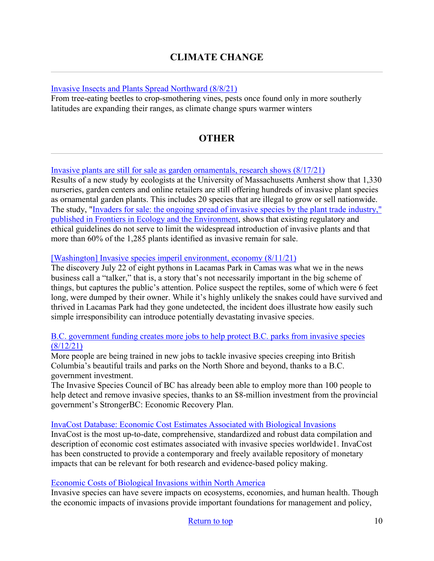## **CLIMATE CHANGE**

#### <span id="page-9-0"></span>[Invasive Insects and Plants Spread Northward \(8/8/21\)](https://www.wsj.com/articles/invasive-insects-and-plants-spread-northward-11628427602)

From tree-eating beetles to crop-smothering vines, pests once found only in more southerly latitudes are expanding their ranges, as climate change spurs warmer winters

## **OTHER**

#### <span id="page-9-1"></span>[Invasive plants are still for sale as garden ornamentals, research shows \(8/17/21\)](https://www.sciencedaily.com/releases/2021/08/210817131437.htm)

Results of a new study by ecologists at the University of Massachusetts Amherst show that 1,330 nurseries, garden centers and online retailers are still offering hundreds of invasive plant species as ornamental garden plants. This includes 20 species that are illegal to grow or sell nationwide. The study, ["Invaders for sale: the ongoing spread of invasive species by the plant trade industry,"](https://esajournals.onlinelibrary.wiley.com/doi/10.1002/fee.2392)  [published in Frontiers in Ecology and the Environment,](https://esajournals.onlinelibrary.wiley.com/doi/10.1002/fee.2392) shows that existing regulatory and ethical guidelines do not serve to limit the widespread introduction of invasive plants and that [more than 60% of the 1,285 plants identified as invasive remain for sale.](https://www.wenatcheeworld.com/opinion/invasive-species-imperil-environment-economy/article_3f353ae4-f944-11eb-92cf-0f25be02a3b6.html) 

#### [\[Washington\] Invasive species imperil environment, economy \(8/11/21\)](https://www.wenatcheeworld.com/opinion/invasive-species-imperil-environment-economy/article_3f353ae4-f944-11eb-92cf-0f25be02a3b6.html)

The discovery July 22 of eight pythons in Lacamas Park in Camas was what we in the news business call a "talker," that is, a story that's not necessarily important in the big scheme of things, but captures the public's attention. Police suspect the reptiles, some of which were 6 feet long, were dumped by their owner. While it's highly unlikely the snakes could have survived and thrived in Lacamas Park had they gone undetected, the incident does illustrate how easily such simple irresponsibility can introduce potentially devastating invasive species.

### [B.C. government funding creates more jobs to help protect B.C. parks from invasive species](https://www.alaskahighwaynews.ca/bc-news/bc-government-funding-creates-more-jobs-to-help-protect-bc-parks-from-invasive-species-4206486)  [\(8/12/21\)](https://www.alaskahighwaynews.ca/bc-news/bc-government-funding-creates-more-jobs-to-help-protect-bc-parks-from-invasive-species-4206486)

More people are being trained in new jobs to tackle invasive species creeping into British Columbia's beautiful trails and parks on the North Shore and beyond, thanks to a B.C. government investment.

The Invasive Species Council of BC has already been able to employ more than 100 people to help detect and remove invasive species, thanks to an \$8-million investment from the provincial government's StrongerBC: Economic Recovery Plan.

#### [InvaCost Database: Economic Cost Estimates Associated with Biological Invasions](https://figshare.com/articles/dataset/InvaCost_References_and_description_of_economic_cost_estimates_associated_with_biological_invasions_worldwide_/12668570?utm_source=feedburnerNational+Invasive+Species+Information+Center+-+What%27s+New&utm_medium=email&utm_campaign=Feed%3A+nisic+%28National+Invasive+Species+Information+Center+-+What%27s+New%29)

InvaCost is the most up-to-date, comprehensive, standardized and robust data compilation and description of economic cost estimates associated with invasive species worldwide1. InvaCost has been constructed to provide a contemporary and freely available repository of monetary impacts that can be relevant for both research and evidence-based policy making.

#### [Economic Costs of Biological Invasions within North America](https://neobiota.pensoft.net/article/58038/)

Invasive species can have severe impacts on ecosystems, economies, and human health. Though the economic impacts of invasions provide important foundations for management and policy,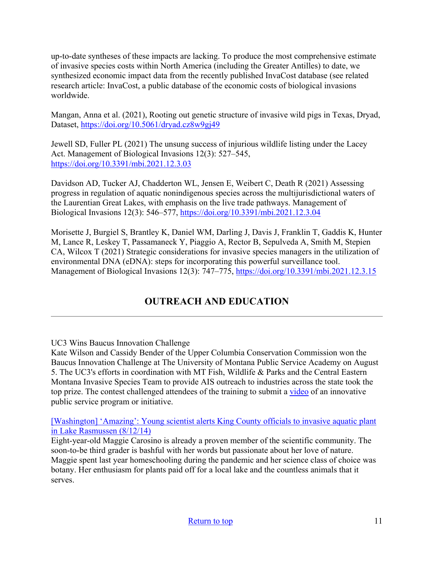up-to-date syntheses of these impacts are lacking. To produce the most comprehensive estimate of invasive species costs within North America (including the Greater Antilles) to date, we synthesized economic impact data from the recently published InvaCost database (see related research article: InvaCost, a public database of the economic costs of biological invasions worldwide.

Mangan, Anna et al. (2021), Rooting out genetic structure of invasive wild pigs in Texas, Dryad, Dataset,<https://doi.org/10.5061/dryad.cz8w9gj49>

Jewell SD, Fuller PL (2021) The unsung success of injurious wildlife listing under the Lacey Act. Management of Biological Invasions 12(3): 527–545, <https://doi.org/10.3391/mbi.2021.12.3.03>

Davidson AD, Tucker AJ, Chadderton WL, Jensen E, Weibert C, Death R (2021) Assessing progress in regulation of aquatic nonindigenous species across the multijurisdictional waters of the Laurentian Great Lakes, with emphasis on the live trade pathways. Management of Biological Invasions 12(3): 546–577,<https://doi.org/10.3391/mbi.2021.12.3.04>

Morisette J, Burgiel S, Brantley K, Daniel WM, Darling J, Davis J, Franklin T, Gaddis K, Hunter M, Lance R, Leskey T, Passamaneck Y, Piaggio A, Rector B, Sepulveda A, Smith M, Stepien CA, Wilcox T (2021) Strategic considerations for invasive species managers in the utilization of environmental DNA (eDNA): steps for incorporating this powerful surveillance tool. Management of Biological Invasions 12(3): 747–775,<https://doi.org/10.3391/mbi.2021.12.3.15>

# **OUTREACH AND EDUCATION**

## UC3 Wins Baucus Innovation Challenge

Kate Wilson and Cassidy Bender of the Upper Columbia Conservation Commission won the Baucus Innovation Challenge at The University of Montana Public Service Academy on August 5. The UC3's efforts in coordination with MT Fish, Wildlife & Parks and the Central Eastern Montana Invasive Species Team to provide AIS outreach to industries across the state took the top prize. The contest challenged attendees of the training to submit a [video](https://www.youtube.com/watch?v=9UbN-rJaEr0) of an innovative public service program or initiative.

[Washington] 'Amazing': Young scientist alerts King County officials to invasive aquatic plant [in Lake Rasmussen \(8/12/14\)](https://www.king5.com/article/tech/science/duvall-king-county-egeria-aquatic-plant-discovery-lake-rasmussen/281-b94c0328-e519-467e-87ee-3a10f2707dcc)

Eight-year-old Maggie Carosino is already a proven member of the scientific community. The soon-to-be third grader is bashful with her words but passionate about her love of nature. Maggie spent last year homeschooling during the pandemic and her science class of choice was botany. Her enthusiasm for plants paid off for a local lake and the countless animals that it serves.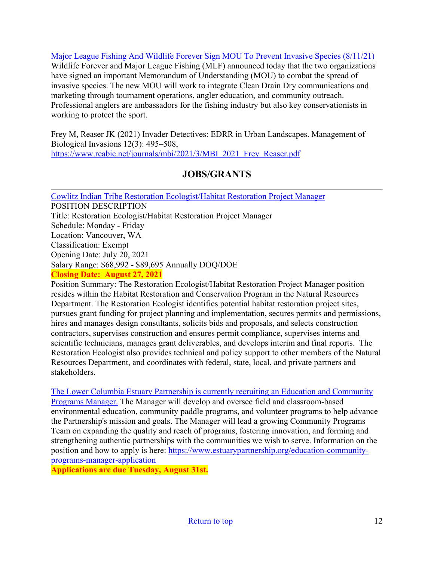[Major League Fishing And Wildlife Forever Sign MOU To Prevent Invasive Species \(8/11/21\)](https://www.wildlifeforever.org/2021/08/11/major-league-fishing-and-wildlife-forever-sign-mou-to-prevent-invasive-species/?utm_medium=email&utm_source=feedburnerNational+Invasive+Species+Information+Center+-+What%27s+New&utm_campaign=Feed%3A+nisic+%28National+Invasive+Species+Information+Center+-+What%27s+New%29) Wildlife Forever and Major League Fishing (MLF) announced today that the two organizations have signed an important Memorandum of Understanding (MOU) to combat the spread of invasive species. The new MOU will work to integrate Clean Drain Dry communications and marketing through tournament operations, angler education, and community outreach. Professional anglers are ambassadors for the fishing industry but also key conservationists in working to protect the sport.

Frey M, Reaser JK (2021) Invader Detectives: EDRR in Urban Landscapes. Management of Biological Invasions 12(3): 495–508, [https://www.reabic.net/journals/mbi/2021/3/MBI\\_2021\\_Frey\\_Reaser.pdf](https://www.reabic.net/journals/mbi/2021/3/MBI_2021_Frey_Reaser.pdf) 

# **JOBS/GRANTS**

<span id="page-11-0"></span>[Cowlitz Indian Tribe Restoration Ecologist/Habitat Restoration Project Manager](https://cowlitz.org/careers/jobs/1291-restoration-project-manager.html) POSITION DESCRIPTION Title: Restoration Ecologist/Habitat Restoration Project Manager Schedule: Monday - Friday Location: Vancouver, WA Classification: Exempt Opening Date: July 20, 2021 Salary Range: \$68,992 - \$89,695 Annually DOQ/DOE **Closing Date: August 27, 2021** 

Position Summary: The Restoration Ecologist/Habitat Restoration Project Manager position resides within the Habitat Restoration and Conservation Program in the Natural Resources Department. The Restoration Ecologist identifies potential habitat restoration project sites, pursues grant funding for project planning and implementation, secures permits and permissions, hires and manages design consultants, solicits bids and proposals, and selects construction contractors, supervises construction and ensures permit compliance, supervises interns and scientific technicians, manages grant deliverables, and develops interim and final reports. The Restoration Ecologist also provides technical and policy support to other members of the Natural Resources Department, and coordinates with federal, state, local, and private partners and stakeholders.

[The Lower Columbia Estuary Partnership is currently recruiting an Education and Community](https://www.estuarypartnership.org/education-community-programs-manager-application)  [Programs Manager.](https://www.estuarypartnership.org/education-community-programs-manager-application) The Manager will develop and oversee field and classroom-based environmental education, community paddle programs, and volunteer programs to help advance the Partnership's mission and goals. The Manager will lead a growing Community Programs Team on expanding the quality and reach of programs, fostering innovation, and forming and strengthening authentic partnerships with the communities we wish to serve. Information on the position and how to apply is here: [https://www.estuarypartnership.org/education-community](https://www.estuarypartnership.org/education-community-programs-manager-application)[programs-manager-application](https://www.estuarypartnership.org/education-community-programs-manager-application)

**Applications are due Tuesday, August 31st.**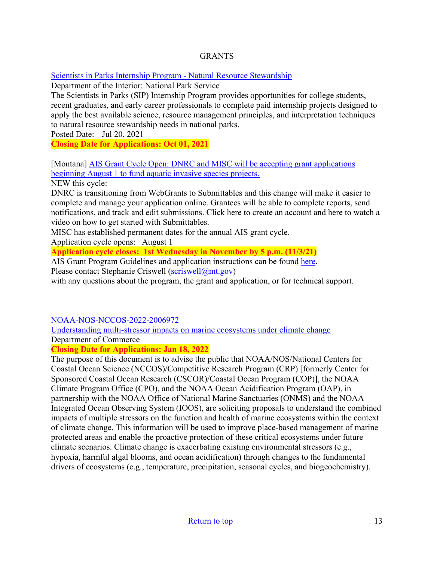## **GRANTS**

[Scientists in Parks Internship Program - Natural Resource Stewardship](https://www.grants.gov/web/grants/view-opportunity.html?oppId=334848)

Department of the Interior: National Park Service

The Scientists in Parks (SIP) Internship Program provides opportunities for college students, recent graduates, and early career professionals to complete paid internship projects designed to apply the best available science, resource management principles, and interpretation techniques to natural resource stewardship needs in national parks.

Posted Date: Jul 20, 2021

**Closing Date for Applications: Oct 01, 2021** 

[\[Montana\] AIS Grant Cycle Open: DNRC and MISC will be accepting grant applications](https://invasivespecies.mt.gov/montana-invasive-species/Aquatic-Invasive-Species-Grant-Program)  beginning August 1 to fund aquatic invasive species projects.

NEW this cycle:

DNRC is transitioning from WebGrants to Submittables and this change will make it easier to complete and manage your application online. Grantees will be able to complete reports, send notifications, and track and edit submissions. Click here to create an account and here to watch a video on how to get started with Submittables.

MISC has established permanent dates for the annual AIS grant cycle.

Application cycle opens: August 1

**Application cycle closes: 1st Wednesday in November by 5 p.m. (11/3/21)** 

AIS Grant Program Guidelines and application instructions can be found [here.](https://invasivespecies.mt.gov/montana-invasive-species/Aquatic-Invasive-Species-Grant-Program)

Please contact Stephanie Criswell ( $scriswell(\omega)$ mt.gov)

with any questions about the program, the grant and application, or for technical support.

[NOAA-NOS-NCCOS-2022-2006972](https://www.grants.gov/web/grants/view-opportunity.html?oppId=334906) 

[Understanding multi-stressor impacts on marine ecosystems under climate change](https://www.grants.gov/web/grants/view-opportunity.html?oppId=334906) Department of Commerce

**Closing Date for Applications: Jan 18, 2022** 

The purpose of this document is to advise the public that NOAA/NOS/National Centers for Coastal Ocean Science (NCCOS)/Competitive Research Program (CRP) [formerly Center for Sponsored Coastal Ocean Research (CSCOR)/Coastal Ocean Program (COP)], the NOAA Climate Program Office (CPO), and the NOAA Ocean Acidification Program (OAP), in partnership with the NOAA Office of National Marine Sanctuaries (ONMS) and the NOAA Integrated Ocean Observing System (IOOS), are soliciting proposals to understand the combined impacts of multiple stressors on the function and health of marine ecosystems within the context of climate change. This information will be used to improve place-based management of marine protected areas and enable the proactive protection of these critical ecosystems under future climate scenarios. Climate change is exacerbating existing environmental stressors (e.g., hypoxia, harmful algal blooms, and ocean acidification) through changes to the fundamental drivers of ecosystems (e.g., temperature, precipitation, seasonal cycles, and biogeochemistry).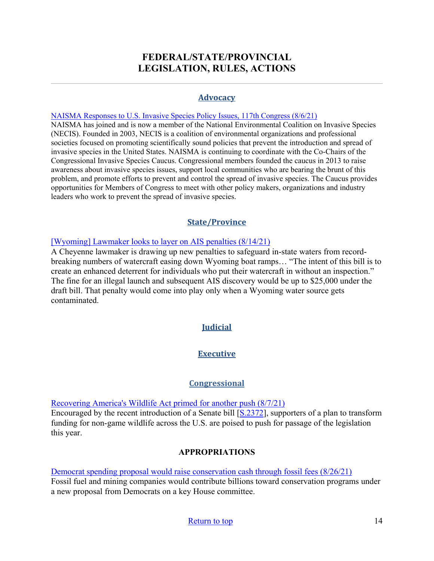## **FEDERAL/STATE/PROVINCIAL LEGISLATION, RULES, ACTIONS**

#### **Advocacy**

#### <span id="page-13-0"></span>[NAISMA Responses to U.S. Invasive Species Policy Issues, 117th Congress \(8/6/21\)](https://naisma.org/2021/08/06/naisma-us-invasive-species-policy-issues-117th-congress-2021/?mc_cid=ca593a93b4&mc_eid=8261955190)

NAISMA has joined and is now a member of the National Environmental Coalition on Invasive Species (NECIS). Founded in 2003, NECIS is a coalition of environmental organizations and professional societies focused on promoting scientifically sound policies that prevent the introduction and spread of invasive species in the United States. NAISMA is continuing to coordinate with the Co-Chairs of the Congressional Invasive Species Caucus. Congressional members founded the caucus in 2013 to raise awareness about invasive species issues, support local communities who are bearing the brunt of this problem, and promote efforts to prevent and control the spread of invasive species. The Caucus provides opportunities for Members of Congress to meet with other policy makers, organizations and industry leaders who work to prevent the spread of invasive species.

## **State/Province**

#### [\[Wyoming\] Lawmaker looks to layer on AIS penalties \(8/14/21\)](https://www.jhnewsandguide.com/news/environmental/local/lawmaker-looks-to-layer-on-ais-penalties/article_bb5dda52-f6e0-54f8-a811-177eb9895aeb.html)

A Cheyenne lawmaker is drawing up new penalties to safeguard in-state waters from recordbreaking numbers of watercraft easing down Wyoming boat ramps… "The intent of this bill is to create an enhanced deterrent for individuals who put their watercraft in without an inspection." The fine for an illegal launch and subsequent AIS discovery would be up to \$25,000 under the draft bill. That penalty would come into play only when a Wyoming water source gets contaminated.

## **Judicial**

## **Executive**

## **Congressional**

[Recovering America's Wildlife Act primed for another push \(8/7/21\)](https://www.jsonline.com/story/sports/outdoors/2021/08/07/legislation-would-provide-1-4-billion-non-game-wildlife/5511115001/)

Encouraged by the recent introduction of a Senate bill [\[S.2372\]](https://www.congress.gov/bill/117th-congress/senate-bill/2372), supporters of a plan to transform funding for non-game wildlife across the U.S. are poised to push for passage of the legislation this year.

## **APPROPRIATIONS**

#### [Democrat spending proposal would raise conservation cash through fossil fees \(8/26/21\)](https://thehill.com/policy/energy-environment/overnights/569634-overnight-energy-democrat-spending-proposal-would-raise)

Fossil fuel and mining companies would contribute billions toward conservation programs under a new proposal from Democrats on a key House committee.

#### [Return to top](#page-0-0) 14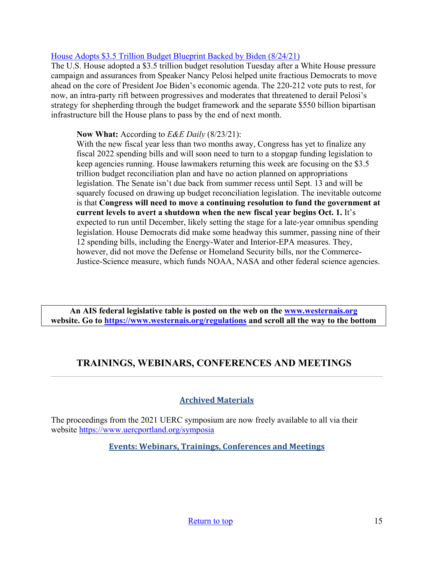## [House Adopts \\$3.5 Trillion Budget Blueprint Backed by Biden \(8/24/21\)](https://www.bloomberg.com/news/articles/2021-08-24/house-adopts-3-5-trillion-budget-blueprint-backed-by-biden)

The U.S. House adopted a \$3.5 trillion budget resolution Tuesday after a White House pressure campaign and assurances from Speaker Nancy Pelosi helped unite fractious Democrats to move ahead on the core of President Joe Biden's economic agenda. The 220-212 vote puts to rest, for now, an intra-party rift between progressives and moderates that threatened to derail Pelosi's strategy for shepherding through the budget framework and the separate \$550 billion bipartisan infrastructure bill the House plans to pass by the end of next month.

### **Now What:** According to *E&E Daily* (8/23/21):

With the new fiscal year less than two months away, Congress has yet to finalize any fiscal 2022 spending bills and will soon need to turn to a stopgap funding legislation to keep agencies running. House lawmakers returning this week are focusing on the \$3.5 trillion budget reconciliation plan and have no action planned on appropriations legislation. The Senate isn't due back from summer recess until Sept. 13 and will be squarely focused on drawing up budget reconciliation legislation. The inevitable outcome is that **Congress will need to move a continuing resolution to fund the government at current levels to avert a shutdown when the new fiscal year begins Oct. 1.** It's expected to run until December, likely setting the stage for a late-year omnibus spending legislation. House Democrats did make some headway this summer, passing nine of their 12 spending bills, including the Energy-Water and Interior-EPA measures. They, however, did not move the Defense or Homeland Security bills, nor the Commerce-Justice-Science measure, which funds NOAA, NASA and other federal science agencies.

**An AIS federal legislative table is posted on the web on the [www.westernais.org](http://www.westernais.org/) website. Go to<https://www.westernais.org/regulations> and scroll all the way to the bottom**

## <span id="page-14-0"></span>**TRAININGS, WEBINARS, CONFERENCES AND MEETINGS**

## **Archived Materials**

The proceedings from the 2021 UERC symposium are now freely available to all via their website<https://www.uercportland.org/symposia>

**Events: Webinars, Trainings, Conferences and Meetings**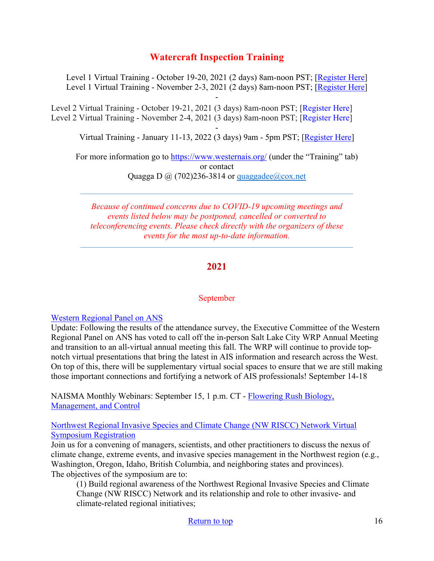## **Watercraft Inspection Training**

Level 1 Virtual Training - October 19-20, 2021 (2 days) 8am-noon PST; [\[Register Here\]](https://us02web.zoom.us/meeting/register/tZIlf-iqqjkjHdQqXQSH1PPVOm3z-kVYPF5C) Level 1 Virtual Training - November 2-3, 2021 (2 days) 8am-noon PST; [\[Register Here\]](https://us02web.zoom.us/meeting/register/tZAlcOuoqTkrG9xGOjP0h3ywaBfCJUv_dXh1) -

Level 2 Virtual Training - October 19-21, 2021 (3 days) 8am-noon PST; [\[Register](https://us02web.zoom.us/meeting/register/tZIlf-iqqjkjHdQqXQSH1PPVOm3z-kVYPF5C) Here] Level 2 Virtual Training - November 2-4, 2021 (3 days) 8am-noon PST; [\[Register](https://us02web.zoom.us/meeting/register/tZAlcOuoqTkrG9xGOjP0h3ywaBfCJUv_dXh1) Here]

- Virtual Training - January 11-13, 2022 (3 days) 9am - 5pm PST; [\[Register Here\]](https://us02web.zoom.us/meeting/register/tZUlceusrz8tEtxpkyyr9PfPy9piCHkIki8K)

For more information go to<https://www.westernais.org/> (under the "Training" tab) or contact Quagga D  $\omega$  (702)236-3814 or quaggadee $\omega$ cox.net

*Because of continued concerns due to COVID-19 upcoming meetings and events listed below may be postponed, cancelled or converted to teleconferencing events. Please check directly with the organizers of these events for the most up-to-date information.* 

## **2021**

#### September

#### [Western Regional Panel on ANS](https://westernregionalpanel.org/)

Update: Following the results of the attendance survey, the Executive Committee of the Western Regional Panel on ANS has voted to call off the in-person Salt Lake City WRP Annual Meeting and transition to an all-virtual annual meeting this fall. The WRP will continue to provide topnotch virtual presentations that bring the latest in AIS information and research across the West. On top of this, there will be supplementary virtual social spaces to ensure that we are still making those important connections and fortifying a network of AIS professionals! September 14-18

NAISMA Monthly Webinars: September 15, 1 p.m. CT - [Flowering Rush Biology,](https://us02web.zoom.us/webinar/register/WN_fc8nKODtT7mKDY0ub_28Xg?utm_medium=email&utm_source=govdelivery)  [Management, and Control](https://us02web.zoom.us/webinar/register/WN_fc8nKODtT7mKDY0ub_28Xg?utm_medium=email&utm_source=govdelivery)

[Northwest Regional Invasive Species and Climate Change \(NW RISCC\) Network Virtual](https://sites.google.com/view/nwriscc/symposium)  [Symposium Registration](https://sites.google.com/view/nwriscc/symposium)

Join us for a convening of managers, scientists, and other practitioners to discuss the nexus of climate change, extreme events, and invasive species management in the Northwest region (e.g., Washington, Oregon, Idaho, British Columbia, and neighboring states and provinces). The objectives of the symposium are to:

(1) Build regional awareness of the Northwest Regional Invasive Species and Climate Change (NW RISCC) Network and its relationship and role to other invasive- and climate-related regional initiatives;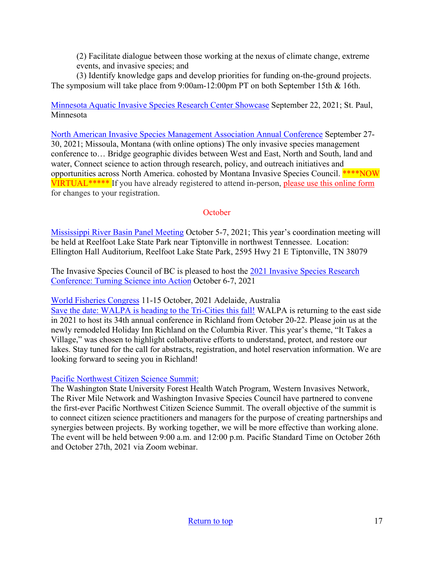(2) Facilitate dialogue between those working at the nexus of climate change, extreme events, and invasive species; and

(3) Identify knowledge gaps and develop priorities for funding on-the-ground projects. The symposium will take place from 9:00am-12:00pm PT on both September 15th & 16th.

[Minnesota Aquatic Invasive Species Research Center Showcase](https://www.maisrc.umn.edu/?utm_medium=email&utm_source=govdelivery) September 22, 2021; St. Paul, Minnesota

[North American Invasive Species Management Association Annual Conference](https://naisma.org/conferences/?utm_medium=email&utm_source=govdelivery) September 27- 30, 2021; Missoula, Montana (with online options) The only invasive species management conference to… Bridge geographic divides between West and East, North and South, land and water, Connect science to action through research, policy, and outreach initiatives and opportunities across North America. cohosted by Montana Invasive Species Council. \*\*\*\*NOW VIRTUAL\*\*\*\*\* If you have already registered to attend in-person, [please use this online form](https://naisma.us14.list-manage.com/track/click?u=99053308a3fd42d76d6c494da&id=9715a96a5d&e=8261955190) for changes to your registration.

#### **October**

[Mississippi River Basin Panel Meeting](http://mrbp.org/meetings?utm_medium=email&utm_source=govdelivery) October 5-7, 2021; This year's coordination meeting will be held at Reelfoot Lake State Park near Tiptonville in northwest Tennessee. Location: Ellington Hall Auditorium, Reelfoot Lake State Park, 2595 Hwy 21 E Tiptonville, TN 38079

The Invasive Species Council of BC is pleased to host the 2021 Invasive Species Research [Conference: Turning Science into Action](https://bcinvasives.ca/resources/professional-events/2021-invasive-species-research-conference-turning-science-into-action/) October 6-7, 2021

[World Fisheries Congress](https://wfc2020.com.au/) 11-15 October, 2021 Adelaide, Australia

[Save the date: WALPA is heading to the Tri-Cities this fall!](https://www.walpa.org/waterline/march-2021/save-the-date-walpa-is-heading-to-the-tri-cities-this-fall/) WALPA is returning to the east side in 2021 to host its 34th annual conference in Richland from October 20-22. Please join us at the newly remodeled Holiday Inn Richland on the Columbia River. This year's theme, "It Takes a Village," was chosen to highlight collaborative efforts to understand, protect, and restore our lakes. Stay tuned for the call for abstracts, registration, and hotel reservation information. We are looking forward to seeing you in Richland!

## [Pacific Northwest Citizen Science Summit:](https://pnwcitsci.org/)

The Washington State University Forest Health Watch Program, Western Invasives Network, The River Mile Network and Washington Invasive Species Council have partnered to convene the first-ever Pacific Northwest Citizen Science Summit. The overall objective of the summit is to connect citizen science practitioners and managers for the purpose of creating partnerships and synergies between projects. By working together, we will be more effective than working alone. The event will be held between 9:00 a.m. and 12:00 p.m. Pacific Standard Time on October 26th and October 27th, 2021 via Zoom webinar.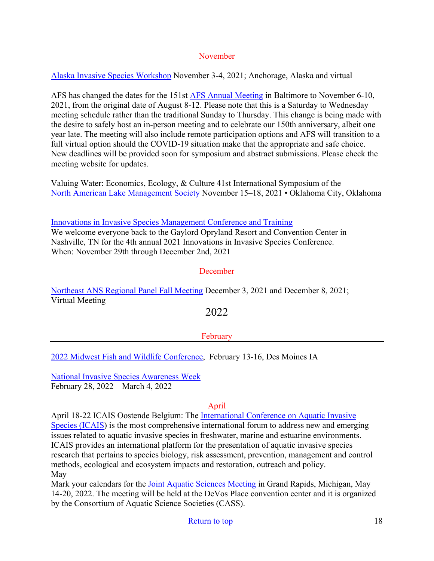### November

[Alaska Invasive Species Workshop](https://uaf.edu/ces/invasives/conference/?utm_medium=email&utm_source=govdelivery) November 3-4, 2021; Anchorage, Alaska and virtual

AFS has changed the dates for the 151st [AFS Annual Meeting](https://fisheries.org/) in Baltimore to November 6-10, 2021, from the original date of August 8-12. Please note that this is a Saturday to Wednesday meeting schedule rather than the traditional Sunday to Thursday. This change is being made with the desire to safely host an in-person meeting and to celebrate our 150th anniversary, albeit one year late. The meeting will also include remote participation options and AFS will transition to a full virtual option should the COVID-19 situation make that the appropriate and safe choice. New deadlines will be provided soon for symposium and abstract submissions. Please check the meeting website for updates.

Valuing Water: Economics, Ecology, & Culture 41st International Symposium of the [North American Lake Management Society](https://www.nalms.org/) November 15–18, 2021 • Oklahoma City, Oklahoma

[Innovations in Invasive Species Management Conference and Training](https://www.invasiveplantcontrol.com/conference21/) We welcome everyone back to the Gaylord Opryland Resort and Convention Center in Nashville, TN for the 4th annual 2021 Innovations in Invasive Species Conference. When: November 29th through December 2nd, 2021

### **December**

[Northeast ANS Regional Panel Fall Meeting](https://www.northeastans.org/index.php/home/meetings-and-panel-information/?utm_medium=email&utm_source=govdelivery) December 3, 2021 and December 8, 2021; Virtual Meeting

2022

## February

[2022 Midwest Fish and Wildlife Conference,](http://www.midwestfw.org/html/call-for-symposia.shtml) February 13-16, Des Moines IA

[National Invasive Species Awareness Week](https://www.nisaw.org/?utm_medium=email&utm_source=govdelivery) February 28, 2022 – March 4, 2022

#### April

April 18-22 ICAIS Oostende Belgium: The [International Conference on Aquatic Invasive](http://www.icais.org/)  [Species \(ICAIS\)](http://www.icais.org/) is the most comprehensive international forum to address new and emerging issues related to aquatic invasive species in freshwater, marine and estuarine environments. ICAIS provides an international platform for the presentation of aquatic invasive species research that pertains to species biology, risk assessment, prevention, management and control methods, ecological and ecosystem impacts and restoration, outreach and policy. May

Mark your calendars for the [Joint Aquatic Sciences Meeting](https://jasm2022.aquaticsocieties.org/) in Grand Rapids, Michigan, May 14-20, 2022. The meeting will be held at the DeVos Place convention center and it is organized by the Consortium of Aquatic Science Societies (CASS).